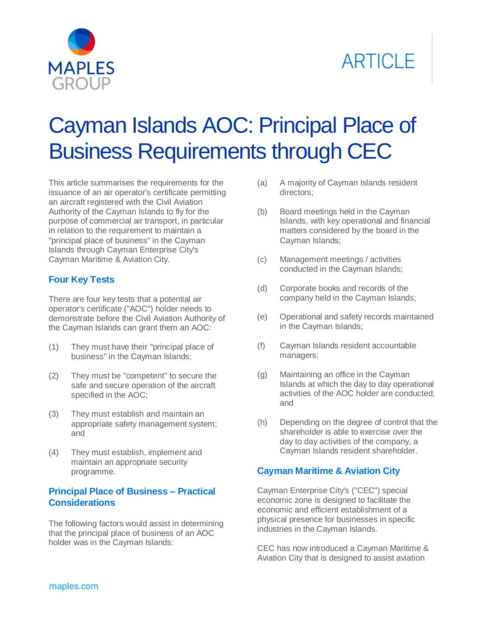



# Cayman Islands AOC: Principal Place of Business Requirements through CEC

This article summarises the requirements for the issuance of an air operator's certificate permitting an aircraft registered with the Civil Aviation Authority of the Cayman Islands to fly for the purpose of commercial air transport, in particular in relation to the requirement to maintain a "principal place of business" in the Cayman Islands through Cayman Enterprise City's Cayman Maritime & Aviation City.

#### **Four Key Tests**

There are four key tests that a potential air operator's certificate ("AOC") holder needs to demonstrate before the Civil Aviation Authority of the Cayman Islands can grant them an AOC:

- (1) They must have their "principal place of business" in the Cayman Islands;
- (2) They must be "competent" to secure the safe and secure operation of the aircraft specified in the AOC;
- (3) They must establish and maintain an appropriate safety management system; and
- (4) They must establish, implement and maintain an appropriate security programme.

#### **Principal Place of Business – Practical Considerations**

The following factors would assist in determining that the principal place of business of an AOC holder was in the Cayman Islands:

- (a) A majority of Cayman Islands resident directors;
- (b) Board meetings held in the Cayman Islands, with key operational and financial matters considered by the board in the Cayman Islands;
- (c) Management meetings / activities conducted in the Cayman Islands;
- (d) Corporate books and records of the company held in the Cayman Islands;
- (e) Operational and safety records maintained in the Cayman Islands;
- (f) Cayman Islands resident accountable managers;
- (g) Maintaining an office in the Cayman Islands at which the day to day operational activities of the AOC holder are conducted; and
- (h) Depending on the degree of control that the shareholder is able to exercise over the day to day activities of the company, a Cayman Islands resident shareholder.

### **Cayman Maritime & Aviation City**

Cayman Enterprise City's ("CEC") special economic zone is designed to facilitate the economic and efficient establishment of a physical presence for businesses in specific industries in the Cayman Islands.

CEC has now introduced a Cayman Maritime & Aviation City that is designed to assist aviation